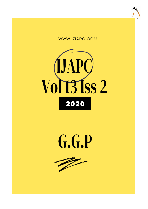





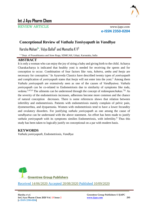

# **Int J Ayu Pharm Chem**

REVIEW ARTICLE www.ijapc.com

**e-ISSN 2350-0204**

# **Conceptional Review of** *Vathala Yonivyapath* **in** *Vandhya*

Harsha Mohan $^{\dagger *}$ , Vidya Ballal $^2$  and Mamatha K V $^3$ 

<sup>1-3</sup> Dept. of Prasuthitantra and Stree Roga, SDMCAH, Udupi, Karnataka, India

### **ABSTRACT**

It is only a woman who can enjoy the joy of siring a baby and giving birth to the child. Acharya Charakacharya is indicated that healthy yoni is needed for receiving the sperm and for conception to occur. Combination of four factors like *rutu, kshetra, ambu and beeja* are necessary for conception.<sup>1</sup> In Ayurveda Classics have described twenty types of *yonivyapath* and complication of *yonivyapath* states that *beeja* will not enter into the yoni.<sup>2</sup> Among them *Vathala yonivyapath* are extensively seen as one of the causes of *Vandhyatwa*. *Vathala yonivyapath* can be co-related to Endometriosis due to similarity of symptoms like *toda,*  vedana.<sup>3,4,5,6</sup> The ailments can be understood through the concept of *nidanapanchakas*.<sup>7,8,</sup> As the severity of the endometriosis increases, adhesions become more common and the chance of natural conception decreases. There is some references shows that relation between infertility and endometriosis. Patients with endometriosis mainly complain of pelvic pain, dysmenorrhea, and dyspareunia. Women with endometriosis tend to have a lower fecundity and ovulatory disorders. For justifying *vathala yonivyapath* as one among the cause of *vandhyatva* can be understand with the above statement. An effort has been made to justify *vathala yonivyapath* with its symptoms similies Endometriosis, with infertility.<sup>9</sup> Thus this study has been taken to logically justify on conceptional on a par with modern basis.

## **KEYWORDS**

*Vathala yonivyapath*, Endometriosis, *Vandhya*



Received 14/06/2020 Accepted 20/08/2020 Published 10/09/2020

\_\_\_\_\_\_\_\_\_\_\_\_\_\_\_\_\_\_\_\_\_\_\_\_\_\_\_\_\_\_\_\_\_\_\_\_\_\_\_\_\_\_\_\_\_\_\_\_\_\_\_\_\_\_\_\_\_\_\_\_\_\_\_\_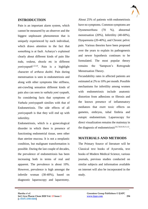

## **INTRODUCTION**

Pain is an important alarm system, which cannot be measured by an observer and the biggest unpleasant phenomenon that is uniquely experienced by each individual, which draws attention to the fact that something is at fault. Acharya's explained clearly about different kinds of pain like *toda, vedana, shoola* etc in different *yonivyapath*1,2,3,4. Pain is a highlight character of *arthava dushti*. Pain during menstruation is seen in endometriosis and along with other symptoms like stiffness, ant-crawling sensation different kinds of pain also can seen in *vathala yoni vyapath,* So considering facts that symptoms of *Vathala yonivyapath* similies with that of Endometriosis. The side effects of all *yonivyapath* is that they will end up with infertility.

Endometriosis, which is a gynecological disorder in which there is presence of functioning endometrial tissue, seen other than uterine mucosa. It is not a neoplastic condition, but malignant transformation is possible. During the last couple of decades, the prevalence of endometriosis has been increasing both in terms of real and apparent. The prevalence is about 10%. However, prevalence is high amongst the infertile woman (30-40%), based on diagnostic laparoscopy and laparotomy.

About 25% of patients with endometriosis have no symptoms. Common symptoms are Dysmenorrhoea (70 %), abnormal menstruation (20%), Infertility (40-60%), Dyspareunia (20-40%), and Chronic pelvic pain. Various theories have been proposed over the years to explain its pathogenesis and newer hypothesis continues to be formulated. The most popular theory remains the 'Sampson's Retrograde Menstruation Theory.

Fecundability rates in affected patients are estimated at 2% to 10% per month. Possible mechanisms for infertility among women with endometriosis include anatomic distortion from adhesions or fibrosis and the known presence of inflammatory mediators that exert toxic effects on gametes, embryos, tubal fimbria and eutopic endometrium. Laparoscopy for direct visualization remains the mainstay in the diagnosis of endometriosis<sup>5,6,7,8,9,10,11,12</sup>.

# **MATERIALS AND METHODS**

The Primary Source of literature will be Classical text books of Ayurveda, text books of Modern Medical Science, various journals, previous studies conducted on similar subjects and information available on internet will also be incorporated in the study.

 $\mathcal{L}_\mathcal{L}$  , and the contribution of the contribution of the contribution of the contribution of the contribution of the contribution of the contribution of the contribution of the contribution of the contribution of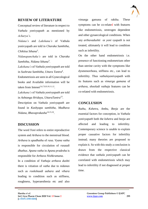

## **REVIEW OF LITERATURE**

Conceptual review of literature in respect to *Vathala yonivyapath* as mentioned by *Acharya's*.

*Nidana's* and *Lakshana's* of Vathala yonivyapath are told in *Charaka Samhitha, Chikitsa Sthana<sup>3</sup>* .

*Nidanapanchaka's* are told in *Charaka Samhitha, Nidana Sthana*<sup>3</sup> .

*Lakshana's* of *Vathala yonivyapath* are told in *Sushruta Samhitha, Uttara Tantra*<sup>4</sup> .

Endometriosis are seen in all Gynecological books and Available information will be taken from Intenet<sup>5,6,7,8,9,10,11,12</sup>.

*Lakshana's* of *Vathala yonivyapath* are told in *Ashtanga Hridaya, UttaraTantra*<sup>13</sup> .

Description on *Vathala yonivyapath* are found in *Kashyapa samhitha, Madhava Nidana, Bhavaprakasha*14,15,16 .

### **DISCUSSION**

The word *Yoni* refers to entire reproductive system and *Arthava* to the menstrual blood. *Arthava* is *upadhathu* of *rasa*. *Vyana vatha* is responsible for circulation of *rasaadi dhathus*. *Apana vatha* in *Apana pradesha* is responsible for *Arthava Nishkramana*.

In a condition of *Vathaja arthava dushti* there is vitiation of *vatha* due to *nidanas* such as *rookshaadi aahara* and *vihara* leading to condition such as stiffness, roughness, hyperaesthesia etc and also

 $\mathcal{L}_\mathcal{L}$  , and the contribution of the contribution of the contribution of the contribution of the contribution of the contribution of the contribution of the contribution of the contribution of the contribution of

vimarga gamana of raktha. These symptoms can be co-related with features like endometriosis, oestrogen dependent and other gynaecological conditions. When any *arthavadushti* or *yoni vyapath* is not treated, ultimately it will lead to condition such as infertility.

On the other hand endometriosis i.e. presence of functioning endometrium other than uterine cavity with the symptoms like dysmenorrhoea, stiffness etc., can lead to infertility. Thus *vathalayonivyapath* with its features such as *vimarga gamana* of *arthava, shooladi vathaja* features can be co-related with endometriosis.

#### **CONCLUSION**

*Ruthu, Kshetra, Ambu, Beeja* are the essential factors for conception, in *Vathala yonivyapath* both the *kshetra* and *beeja* are affected and leading to infertility. Contemporary science is unable to explain proper causative factors for infertility instead; many theories are proposed to explain it. So with this study a conclusion is drawn from the respective classical evidence that *vathala yonivyapath* can be correlated with endometriosis which may lead to infertility if not diagnosed at proper time.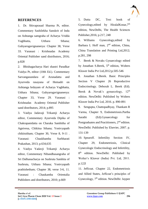

### **REFERENCES**

1. Dr. Shivaprasad Sharma Pt, editor. Commentary Sashilekha Sanskrit of Indu on Ashtanga samgraha of Acharya Vridda Vagbhatta, Utthara Sthana; Guhyarogavignaneeya: Chapter 38, Verse 33. Varanasi : Krishnadas Academy Oriental Publisher sand distributors, 2016; p.828

2. Bhishagacharya Hari shastri Paradkar Vaidya Pt, editor (10th Ed.). Commentary Sarvangasundara of Arunadatta and Ayurveda rasayana of Hemadri on Ashtanga hrdayam of Acharya Vagbhatta, Utthara Sthana; Guhyarogavignaneeya: Chapter 33, Verse 29. Varanasi : Krishnadas Academy Oriental Publisher sand distributors, 2014; p.895

3. Vaidya Jadavaji Trikamji Acharya editor, Commentary Ayurveda Dipika of Chakrapanidatta on Charaka Samhitha of Agnivesa, Chikitsa Sthana; Yonivyapath chikitsitham; Chapter 30, Verse 8, 9-11 . Varanasi: Chaukhamba Surbharati Prakashan, 2013; p.634,635

4. Vaidya Yadavji Trikamji Acharya editor, Commentary Nibandhasangraha of Sri Dalhanacharya on Sushruta Samhita of Sushruta, Utthara Sthana; Yonivyapath prathishetham; Chapter 38, verse 3-6, 11. Varanasi : Chaukamba Orientalia Publishers and distributors, 2010; p.669

5. Dutta DC, Text book of Gynecology, edited by HiralalKonar, 7<sup>th</sup> edition, NewDelhi, The Health Sciences Publisher,2016; p.217, 248

6. Williams Gynecology,edited by Barbara L Hoff man, 2<sup>nd</sup> edition, China, China Translation and Printing Ltd,2012; p.281, 298

7. Berek & Novaks Gynaecology edited by Jonathan S.Berek,  $5<sup>th</sup>$  edition, Wolters Kluwer India Pvt Ltd,2012;p.505-546

8. Jonathan S.Berek. Basic Principles Section V Chapter 26 Reproductive Endocrinology. Deborah L. Berek (Ed). Berek & Novak's gynaecology,  $12<sup>th</sup>$ edition. NewDelhi: Published by Wolters Kluwer India Pvt Ltd, 2016. p. 890-891

9. Sengupta, Chattopadhyay, Thankam R Varma, Chapter 9, Endometriosis.Partha Sarathi (Ed).Gynaecology for Postgraduates and Practitioners, 2<sup>nd</sup> edition. NewDelhi: Published by Elsevier, 2007. p. 131-139

10. Spearoff. Infertility Section IV, Chapter 29, Endometriosis, Clinical Gynecologic Endocrinology and Infertility, 8<sup>th</sup> edition. NewDelhi: Published by Wolter's Kluwer (India) Pvt. Ltd, 2011. p.122l

11. Jeffcoat. Chapter 22, Endometriosis and Allied States, Jeffcoat's principles of Gynecology, 7<sup>th</sup> edition. NewDelhi: Jaypee

 $\mathcal{L}_\mathcal{L}$  , and the contribution of the contribution of the contribution of the contribution of the contribution of the contribution of the contribution of the contribution of the contribution of the contribution of